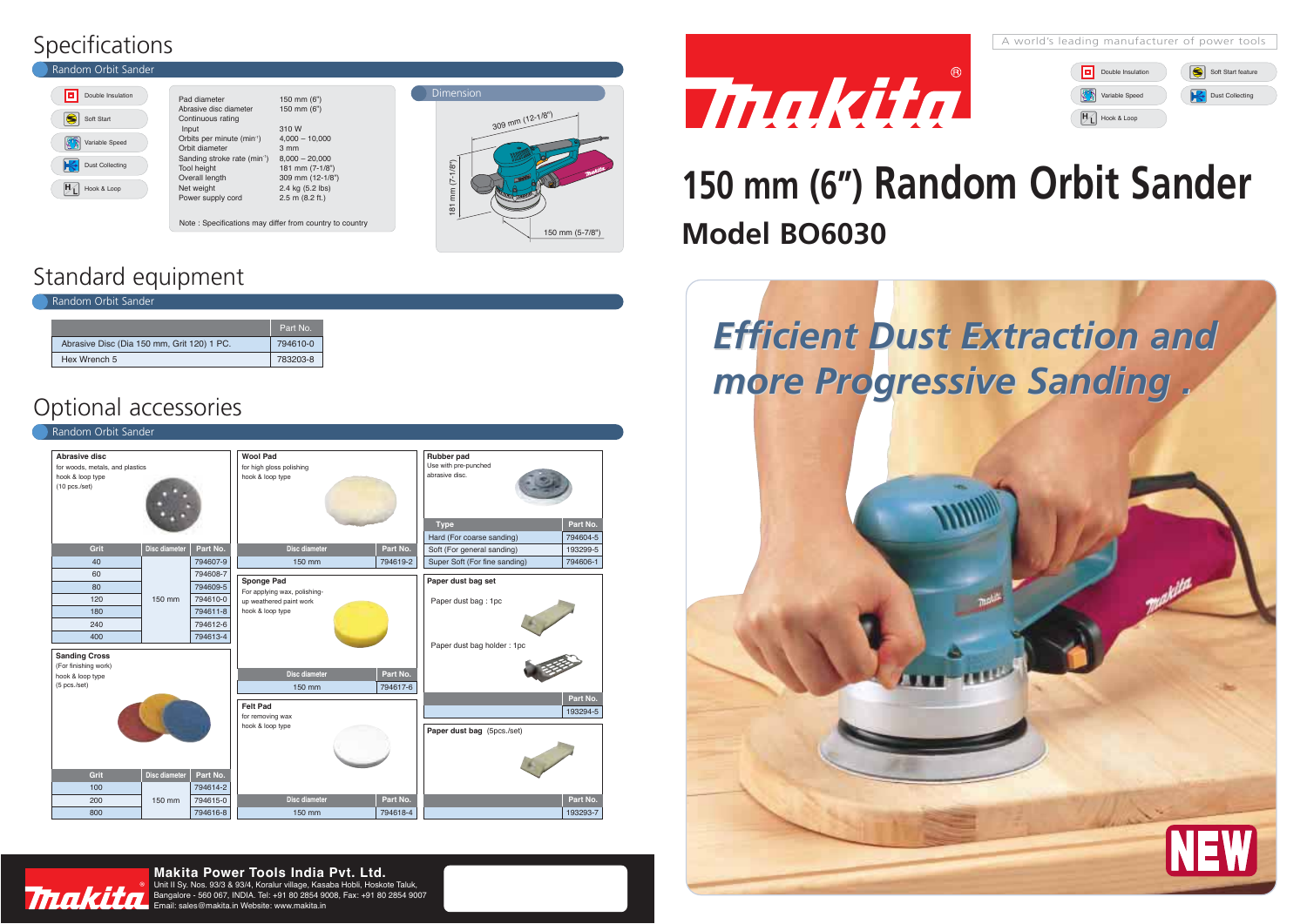## **150 mm (6") Random Orbit Sander Model BO6030**



### Standard equipment

Indom Orbit Sander

Tnaki

|                                            | Part No. |
|--------------------------------------------|----------|
| Abrasive Disc (Dia 150 mm, Grit 120) 1 PC. | 794610-0 |
| Hex Wrench 5                               | 783203-8 |

## Optional accessories

| Random Orbit Sander                                                                   |                      |          |                                                                 |                      |                                                                                 |                      |  |  |
|---------------------------------------------------------------------------------------|----------------------|----------|-----------------------------------------------------------------|----------------------|---------------------------------------------------------------------------------|----------------------|--|--|
| Abrasive disc<br>for woods, metals, and plastics<br>hook & loop type<br>(10 pcs./set) |                      |          | <b>Wool Pad</b><br>for high gloss polishing<br>hook & loop type |                      | Rubber pad<br>Use with pre-punched<br>abrasive disc.<br>Part No.<br><b>Type</b> |                      |  |  |
|                                                                                       |                      |          |                                                                 |                      | Hard (For coarse sanding)                                                       | 794604-5             |  |  |
| Grit                                                                                  | <b>Disc diameter</b> | Part No. | <b>Disc diameter</b>                                            | Part No.             | Soft (For general sanding)                                                      | 193299-5             |  |  |
| 40                                                                                    |                      | 794607-9 | 150 mm                                                          | 794619-2             | Super Soft (For fine sanding)                                                   | 794606-1             |  |  |
| 60                                                                                    |                      | 794608-7 | Sponge Pad                                                      |                      | Paper dust bag set                                                              |                      |  |  |
| 80                                                                                    |                      | 794609-5 | For applying wax, polishing-                                    |                      |                                                                                 |                      |  |  |
| 120                                                                                   | 150 mm               | 794610-0 | up weathered paint work                                         |                      | Paper dust bag: 1pc                                                             |                      |  |  |
| 180                                                                                   |                      | 794611-8 | hook & loop type                                                |                      |                                                                                 |                      |  |  |
| 240                                                                                   |                      | 794612-6 |                                                                 |                      |                                                                                 |                      |  |  |
| 400                                                                                   |                      | 794613-4 |                                                                 |                      | Paper dust bag holder: 1pc                                                      |                      |  |  |
| <b>Sanding Cross</b><br>(For finishing work)<br>hook & loop type<br>(5 pcs./set)      |                      |          | <b>Disc diameter</b><br>150 mm                                  | Part No.<br>794617-6 |                                                                                 |                      |  |  |
|                                                                                       |                      |          | <b>Felt Pad</b><br>for removing wax                             |                      |                                                                                 | Part No.<br>193294-5 |  |  |
| Grit                                                                                  | Disc diameter        | Part No. | hook & loop type                                                |                      | Paper dust bag (5pcs./set)                                                      |                      |  |  |
| 100                                                                                   |                      | 794614-2 |                                                                 |                      |                                                                                 |                      |  |  |
| 200                                                                                   | 150 mm               | 794615-0 | <b>Disc diameter</b>                                            | Part No.             |                                                                                 | Part No.             |  |  |
| 800                                                                                   |                      | 794616-8 | 150 mm                                                          | 794618-4             |                                                                                 | 193293-7             |  |  |



Unit II Sy. Nos. 93/3 & 93/4, Koralur village, Kasaba Hobli, Hoskote Taluk, Bangalore - 560 067, INDIA. Tel: +91 80 2854 9008, Fax: +91 80 2854 9007  $\mathsf{Fmail}$ : sales@makita.in Website: www.makita.in

## Specifications



| Pad diameter                             | 150 mm (6")         |
|------------------------------------------|---------------------|
| Abrasive disc diameter                   | 150 mm (6")         |
| Continuous rating                        |                     |
| Input                                    | 310 W               |
| Orbits per minute (min <sup>-1</sup> )   | $4,000 - 10,000$    |
| Orbit diameter                           | $3 \, \text{mm}$    |
| Sanding stroke rate (min <sup>-1</sup> ) | $8,000 - 20,000$    |
| <b>Tool height</b>                       | 181 mm (7-1/8")     |
| Overall length                           | 309 mm (12-1/8")    |
| Net weight                               | 2.4 kg (5.2 lbs)    |
| Power supply cord                        | $2.5$ m $(8.2$ ft.) |
|                                          |                     |

Note : Specifications may differ from country to country





#### **Makita Power Tools India Pvt. Ltd.**